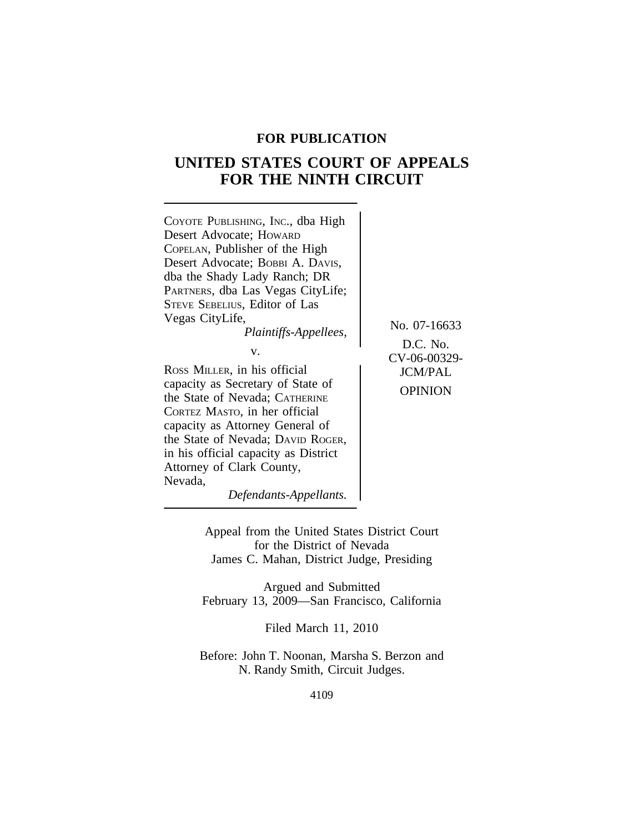### **FOR PUBLICATION**

# **UNITED STATES COURT OF APPEALS FOR THE NINTH CIRCUIT**



*Defendants-Appellants.*

Appeal from the United States District Court for the District of Nevada James C. Mahan, District Judge, Presiding

Argued and Submitted February 13, 2009—San Francisco, California

Filed March 11, 2010

Before: John T. Noonan, Marsha S. Berzon and N. Randy Smith, Circuit Judges.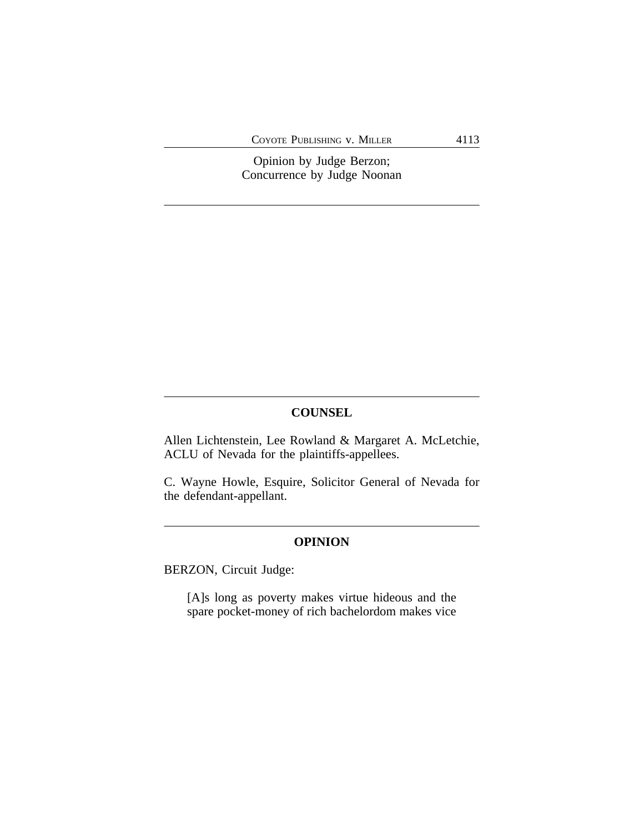COYOTE PUBLISHING V. MILLER 4113

Opinion by Judge Berzon; Concurrence by Judge Noonan

### **COUNSEL**

Allen Lichtenstein, Lee Rowland & Margaret A. McLetchie, ACLU of Nevada for the plaintiffs-appellees.

C. Wayne Howle, Esquire, Solicitor General of Nevada for the defendant-appellant.

#### **OPINION**

BERZON, Circuit Judge:

[A]s long as poverty makes virtue hideous and the spare pocket-money of rich bachelordom makes vice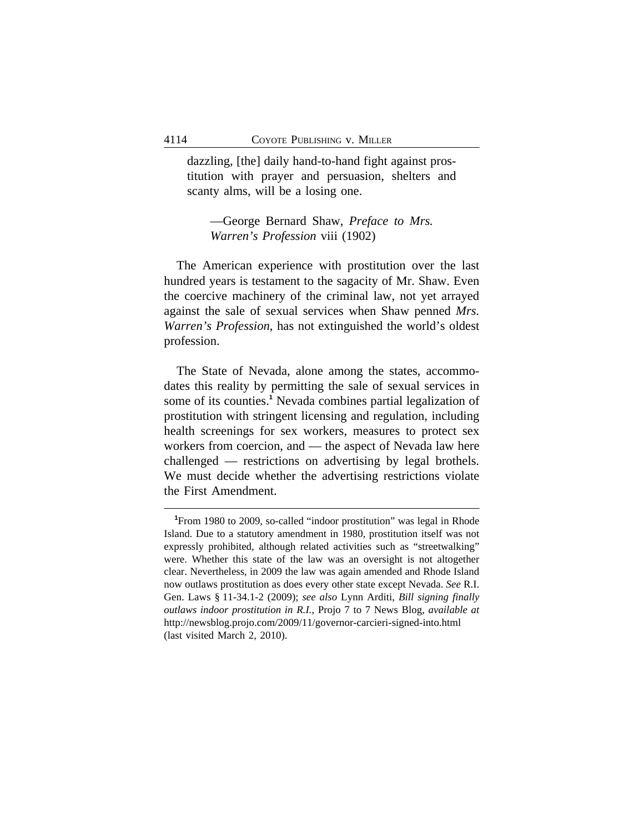dazzling, [the] daily hand-to-hand fight against prostitution with prayer and persuasion, shelters and scanty alms, will be a losing one.

—George Bernard Shaw, *Preface to Mrs. Warren's Profession* viii (1902)

The American experience with prostitution over the last hundred years is testament to the sagacity of Mr. Shaw. Even the coercive machinery of the criminal law, not yet arrayed against the sale of sexual services when Shaw penned *Mrs. Warren's Profession*, has not extinguished the world's oldest profession.

The State of Nevada, alone among the states, accommodates this reality by permitting the sale of sexual services in some of its counties.**<sup>1</sup>** Nevada combines partial legalization of prostitution with stringent licensing and regulation, including health screenings for sex workers, measures to protect sex workers from coercion, and — the aspect of Nevada law here challenged — restrictions on advertising by legal brothels. We must decide whether the advertising restrictions violate the First Amendment.

**<sup>1</sup>**From 1980 to 2009, so-called "indoor prostitution" was legal in Rhode Island. Due to a statutory amendment in 1980, prostitution itself was not expressly prohibited, although related activities such as "streetwalking" were. Whether this state of the law was an oversight is not altogether clear. Nevertheless, in 2009 the law was again amended and Rhode Island now outlaws prostitution as does every other state except Nevada. *See* R.I. Gen. Laws § 11-34.1-2 (2009); *see also* Lynn Arditi, *Bill signing finally outlaws indoor prostitution in R.I.*, Projo 7 to 7 News Blog, *available at* http://newsblog.projo.com/2009/11/governor-carcieri-signed-into.html (last visited March 2, 2010).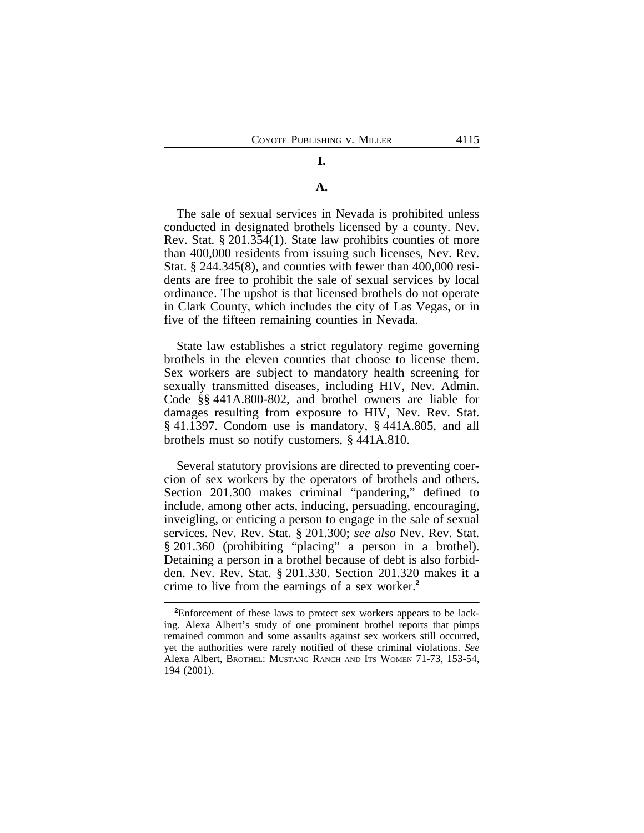## **I.**

### **A.**

The sale of sexual services in Nevada is prohibited unless conducted in designated brothels licensed by a county. Nev. Rev. Stat. § 201.354(1). State law prohibits counties of more than 400,000 residents from issuing such licenses, Nev. Rev. Stat. § 244.345(8), and counties with fewer than 400,000 residents are free to prohibit the sale of sexual services by local ordinance. The upshot is that licensed brothels do not operate in Clark County, which includes the city of Las Vegas, or in five of the fifteen remaining counties in Nevada.

State law establishes a strict regulatory regime governing brothels in the eleven counties that choose to license them. Sex workers are subject to mandatory health screening for sexually transmitted diseases, including HIV, Nev. Admin. Code §§ 441A.800-802, and brothel owners are liable for damages resulting from exposure to HIV, Nev. Rev. Stat. § 41.1397. Condom use is mandatory, § 441A.805, and all brothels must so notify customers, § 441A.810.

Several statutory provisions are directed to preventing coercion of sex workers by the operators of brothels and others. Section 201.300 makes criminal "pandering," defined to include, among other acts, inducing, persuading, encouraging, inveigling, or enticing a person to engage in the sale of sexual services. Nev. Rev. Stat. § 201.300; *see also* Nev. Rev. Stat. § 201.360 (prohibiting "placing" a person in a brothel). Detaining a person in a brothel because of debt is also forbidden. Nev. Rev. Stat. § 201.330. Section 201.320 makes it a crime to live from the earnings of a sex worker.**<sup>2</sup>**

**<sup>2</sup>**Enforcement of these laws to protect sex workers appears to be lacking. Alexa Albert's study of one prominent brothel reports that pimps remained common and some assaults against sex workers still occurred, yet the authorities were rarely notified of these criminal violations. *See* Alexa Albert, BROTHEL: MUSTANG RANCH AND ITS WOMEN 71-73, 153-54, 194 (2001).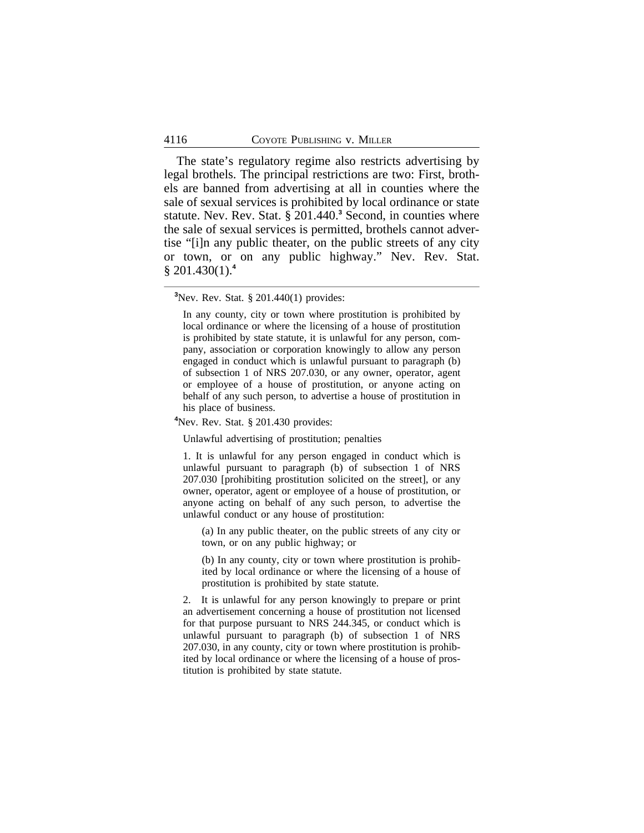The state's regulatory regime also restricts advertising by legal brothels. The principal restrictions are two: First, brothels are banned from advertising at all in counties where the sale of sexual services is prohibited by local ordinance or state statute. Nev. Rev. Stat. § 201.440.**<sup>3</sup>** Second, in counties where the sale of sexual services is permitted, brothels cannot advertise "[i]n any public theater, on the public streets of any city or town, or on any public highway." Nev. Rev. Stat. § 201.430(1).**<sup>4</sup>**

**<sup>3</sup>**Nev. Rev. Stat. § 201.440(1) provides:

**<sup>4</sup>**Nev. Rev. Stat. § 201.430 provides:

Unlawful advertising of prostitution; penalties

1. It is unlawful for any person engaged in conduct which is unlawful pursuant to paragraph (b) of subsection 1 of NRS 207.030 [prohibiting prostitution solicited on the street], or any owner, operator, agent or employee of a house of prostitution, or anyone acting on behalf of any such person, to advertise the unlawful conduct or any house of prostitution:

(a) In any public theater, on the public streets of any city or town, or on any public highway; or

(b) In any county, city or town where prostitution is prohibited by local ordinance or where the licensing of a house of prostitution is prohibited by state statute.

2. It is unlawful for any person knowingly to prepare or print an advertisement concerning a house of prostitution not licensed for that purpose pursuant to NRS 244.345, or conduct which is unlawful pursuant to paragraph (b) of subsection 1 of NRS 207.030, in any county, city or town where prostitution is prohibited by local ordinance or where the licensing of a house of prostitution is prohibited by state statute.

In any county, city or town where prostitution is prohibited by local ordinance or where the licensing of a house of prostitution is prohibited by state statute, it is unlawful for any person, company, association or corporation knowingly to allow any person engaged in conduct which is unlawful pursuant to paragraph (b) of subsection 1 of NRS 207.030, or any owner, operator, agent or employee of a house of prostitution, or anyone acting on behalf of any such person, to advertise a house of prostitution in his place of business.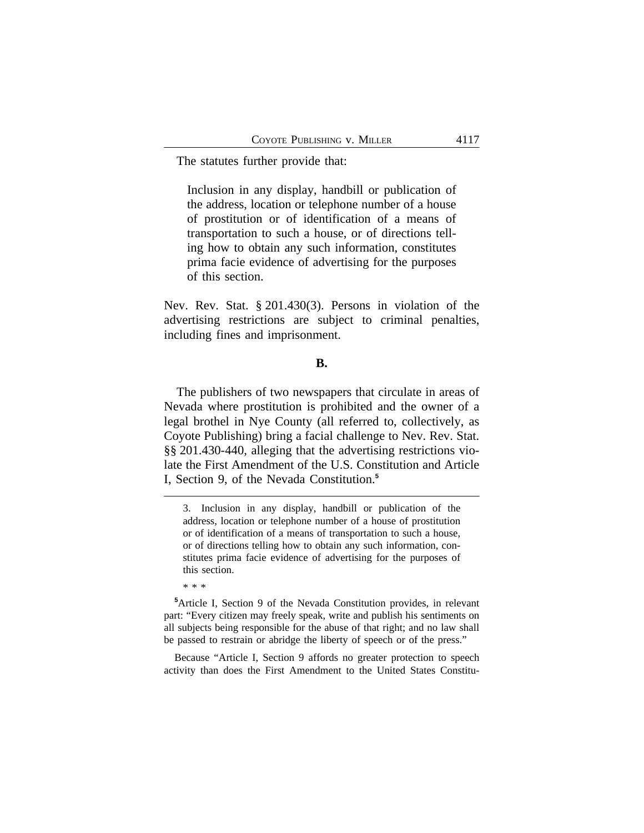The statutes further provide that:

Inclusion in any display, handbill or publication of the address, location or telephone number of a house of prostitution or of identification of a means of transportation to such a house, or of directions telling how to obtain any such information, constitutes prima facie evidence of advertising for the purposes of this section.

Nev. Rev. Stat. § 201.430(3). Persons in violation of the advertising restrictions are subject to criminal penalties, including fines and imprisonment.

### **B.**

The publishers of two newspapers that circulate in areas of Nevada where prostitution is prohibited and the owner of a legal brothel in Nye County (all referred to, collectively, as Coyote Publishing) bring a facial challenge to Nev. Rev. Stat. §§ 201.430-440, alleging that the advertising restrictions violate the First Amendment of the U.S. Constitution and Article I, Section 9, of the Nevada Constitution.**<sup>5</sup>**

\* \* \*

**<sup>5</sup>**Article I, Section 9 of the Nevada Constitution provides, in relevant part: "Every citizen may freely speak, write and publish his sentiments on all subjects being responsible for the abuse of that right; and no law shall be passed to restrain or abridge the liberty of speech or of the press."

Because "Article I, Section 9 affords no greater protection to speech activity than does the First Amendment to the United States Constitu-

<sup>3.</sup> Inclusion in any display, handbill or publication of the address, location or telephone number of a house of prostitution or of identification of a means of transportation to such a house, or of directions telling how to obtain any such information, constitutes prima facie evidence of advertising for the purposes of this section.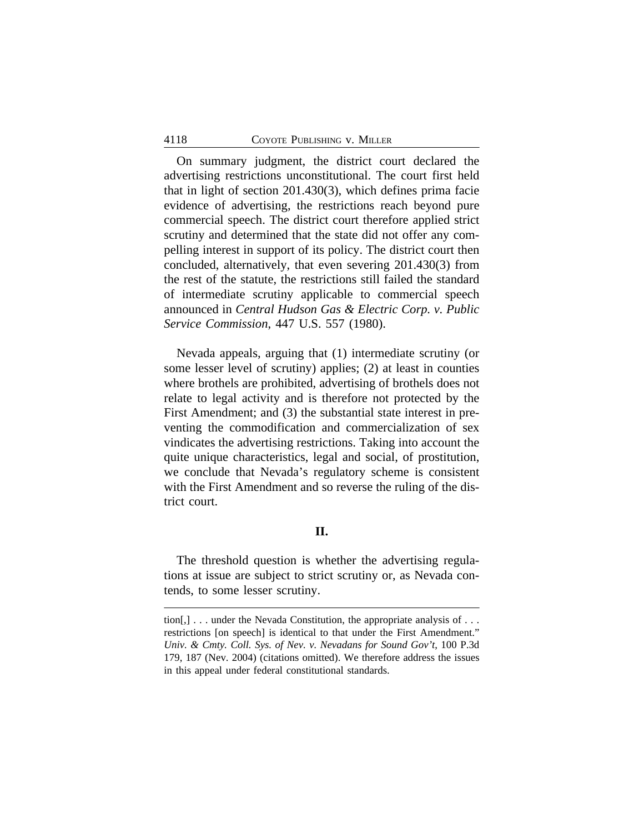On summary judgment, the district court declared the advertising restrictions unconstitutional. The court first held that in light of section 201.430(3), which defines prima facie evidence of advertising, the restrictions reach beyond pure commercial speech. The district court therefore applied strict scrutiny and determined that the state did not offer any compelling interest in support of its policy. The district court then concluded, alternatively, that even severing 201.430(3) from the rest of the statute, the restrictions still failed the standard of intermediate scrutiny applicable to commercial speech announced in *Central Hudson Gas & Electric Corp. v. Public Service Commission*, 447 U.S. 557 (1980).

Nevada appeals, arguing that (1) intermediate scrutiny (or some lesser level of scrutiny) applies; (2) at least in counties where brothels are prohibited, advertising of brothels does not relate to legal activity and is therefore not protected by the First Amendment; and (3) the substantial state interest in preventing the commodification and commercialization of sex vindicates the advertising restrictions. Taking into account the quite unique characteristics, legal and social, of prostitution, we conclude that Nevada's regulatory scheme is consistent with the First Amendment and so reverse the ruling of the district court.

## **II.**

The threshold question is whether the advertising regulations at issue are subject to strict scrutiny or, as Nevada contends, to some lesser scrutiny.

tion $[,]$ ... under the Nevada Constitution, the appropriate analysis of ... restrictions [on speech] is identical to that under the First Amendment." *Univ. & Cmty. Coll. Sys. of Nev. v. Nevadans for Sound Gov't*, 100 P.3d 179, 187 (Nev. 2004) (citations omitted). We therefore address the issues in this appeal under federal constitutional standards.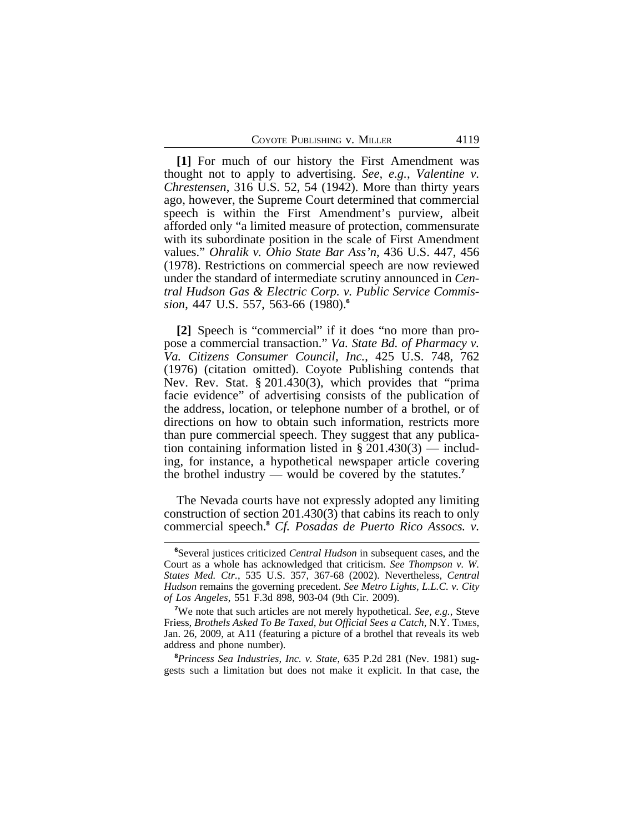**[1]** For much of our history the First Amendment was thought not to apply to advertising. *See, e.g.*, *Valentine v. Chrestensen*, 316 U.S. 52, 54 (1942). More than thirty years ago, however, the Supreme Court determined that commercial speech is within the First Amendment's purview, albeit afforded only "a limited measure of protection, commensurate with its subordinate position in the scale of First Amendment values." *Ohralik v. Ohio State Bar Ass'n*, 436 U.S. 447, 456 (1978). Restrictions on commercial speech are now reviewed under the standard of intermediate scrutiny announced in *Central Hudson Gas & Electric Corp. v. Public Service Commission*, 447 U.S. 557, 563-66 (1980).**<sup>6</sup>**

**[2]** Speech is "commercial" if it does "no more than propose a commercial transaction." *Va. State Bd. of Pharmacy v. Va. Citizens Consumer Council, Inc.*, 425 U.S. 748, 762 (1976) (citation omitted). Coyote Publishing contends that Nev. Rev. Stat. § 201.430(3), which provides that "prima facie evidence" of advertising consists of the publication of the address, location, or telephone number of a brothel, or of directions on how to obtain such information, restricts more than pure commercial speech. They suggest that any publication containing information listed in  $\S 201.430(3)$  — including, for instance, a hypothetical newspaper article covering the brothel industry — would be covered by the statutes.**<sup>7</sup>**

The Nevada courts have not expressly adopted any limiting construction of section 201.430(3) that cabins its reach to only commercial speech.**<sup>8</sup>** *Cf. Posadas de Puerto Rico Assocs. v.*

**<sup>8</sup>***Princess Sea Industries, Inc. v. State*, 635 P.2d 281 (Nev. 1981) suggests such a limitation but does not make it explicit. In that case, the

**<sup>6</sup>**Several justices criticized *Central Hudson* in subsequent cases, and the Court as a whole has acknowledged that criticism. *See Thompson v. W. States Med. Ctr.*, 535 U.S. 357, 367-68 (2002). Nevertheless, *Central Hudson* remains the governing precedent. *See Metro Lights, L.L.C. v. City of Los Angeles*, 551 F.3d 898, 903-04 (9th Cir. 2009).

**<sup>7</sup>**We note that such articles are not merely hypothetical. *See, e.g.*, Steve Friess*, Brothels Asked To Be Taxed, but Official Sees a Catch*, N.Y. TIMES, Jan. 26, 2009, at A11 (featuring a picture of a brothel that reveals its web address and phone number).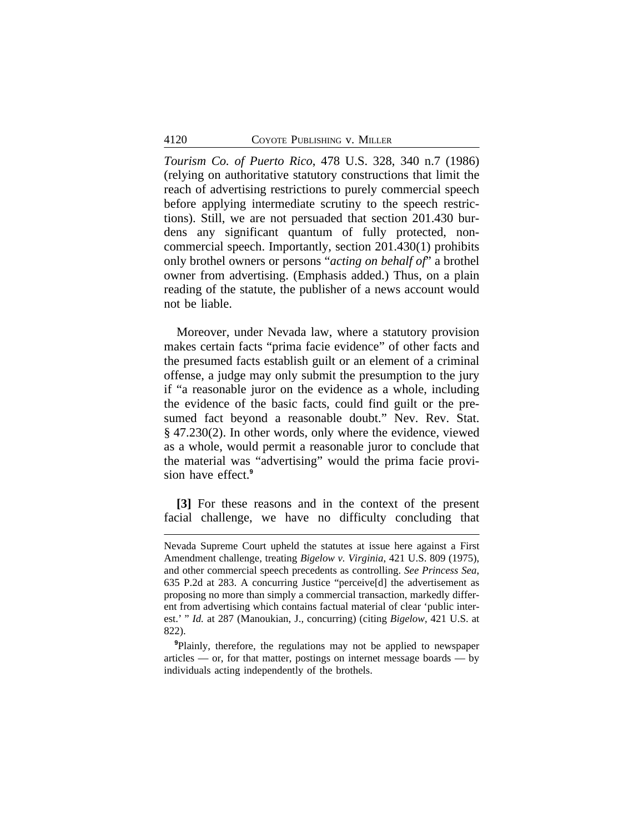*Tourism Co. of Puerto Rico*, 478 U.S. 328, 340 n.7 (1986) (relying on authoritative statutory constructions that limit the reach of advertising restrictions to purely commercial speech before applying intermediate scrutiny to the speech restrictions). Still, we are not persuaded that section 201.430 burdens any significant quantum of fully protected, noncommercial speech. Importantly, section 201.430(1) prohibits only brothel owners or persons "*acting on behalf of*" a brothel owner from advertising. (Emphasis added.) Thus, on a plain reading of the statute, the publisher of a news account would not be liable.

Moreover, under Nevada law, where a statutory provision makes certain facts "prima facie evidence" of other facts and the presumed facts establish guilt or an element of a criminal offense, a judge may only submit the presumption to the jury if "a reasonable juror on the evidence as a whole, including the evidence of the basic facts, could find guilt or the presumed fact beyond a reasonable doubt." Nev. Rev. Stat. § 47.230(2). In other words, only where the evidence, viewed as a whole, would permit a reasonable juror to conclude that the material was "advertising" would the prima facie provision have effect.**<sup>9</sup>**

**[3]** For these reasons and in the context of the present facial challenge, we have no difficulty concluding that

Nevada Supreme Court upheld the statutes at issue here against a First Amendment challenge, treating *Bigelow v. Virginia*, 421 U.S. 809 (1975), and other commercial speech precedents as controlling. *See Princess Sea*, 635 P.2d at 283. A concurring Justice "perceive[d] the advertisement as proposing no more than simply a commercial transaction, markedly different from advertising which contains factual material of clear 'public interest.' " *Id.* at 287 (Manoukian, J., concurring) (citing *Bigelow*, 421 U.S. at 822).

**<sup>9</sup>**Plainly, therefore, the regulations may not be applied to newspaper articles — or, for that matter, postings on internet message boards — by individuals acting independently of the brothels.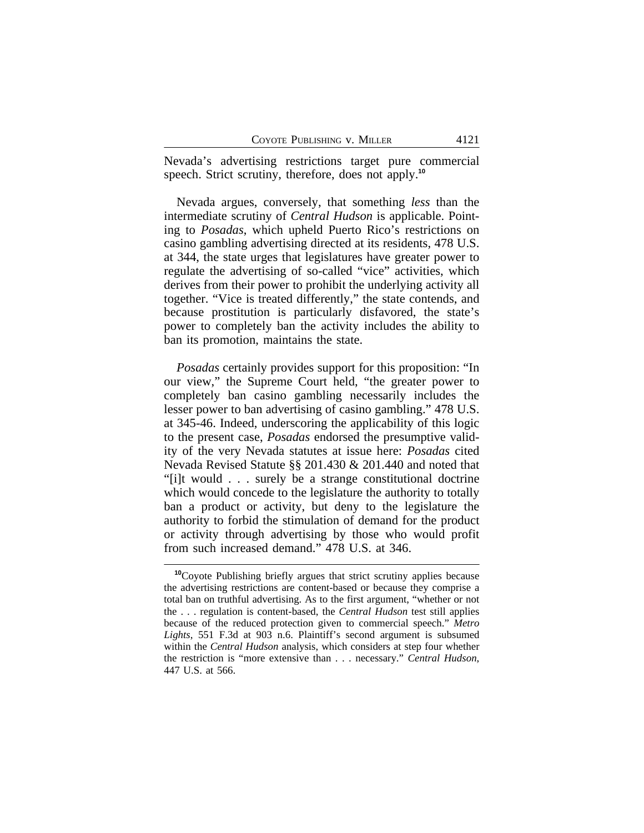Nevada's advertising restrictions target pure commercial speech. Strict scrutiny, therefore, does not apply.**<sup>10</sup>**

Nevada argues, conversely, that something *less* than the intermediate scrutiny of *Central Hudson* is applicable. Pointing to *Posadas*, which upheld Puerto Rico's restrictions on casino gambling advertising directed at its residents, 478 U.S. at 344, the state urges that legislatures have greater power to regulate the advertising of so-called "vice" activities, which derives from their power to prohibit the underlying activity all together. "Vice is treated differently," the state contends, and because prostitution is particularly disfavored, the state's power to completely ban the activity includes the ability to ban its promotion, maintains the state.

*Posadas* certainly provides support for this proposition: "In our view," the Supreme Court held, "the greater power to completely ban casino gambling necessarily includes the lesser power to ban advertising of casino gambling." 478 U.S. at 345-46. Indeed, underscoring the applicability of this logic to the present case, *Posadas* endorsed the presumptive validity of the very Nevada statutes at issue here: *Posadas* cited Nevada Revised Statute §§ 201.430 & 201.440 and noted that "[i]t would . . . surely be a strange constitutional doctrine which would concede to the legislature the authority to totally ban a product or activity, but deny to the legislature the authority to forbid the stimulation of demand for the product or activity through advertising by those who would profit from such increased demand." 478 U.S. at 346.

**<sup>10</sup>**Coyote Publishing briefly argues that strict scrutiny applies because the advertising restrictions are content-based or because they comprise a total ban on truthful advertising. As to the first argument, "whether or not the . . . regulation is content-based, the *Central Hudson* test still applies because of the reduced protection given to commercial speech." *Metro Lights*, 551 F.3d at 903 n.6. Plaintiff's second argument is subsumed within the *Central Hudson* analysis, which considers at step four whether the restriction is "more extensive than . . . necessary." *Central Hudson*, 447 U.S. at 566.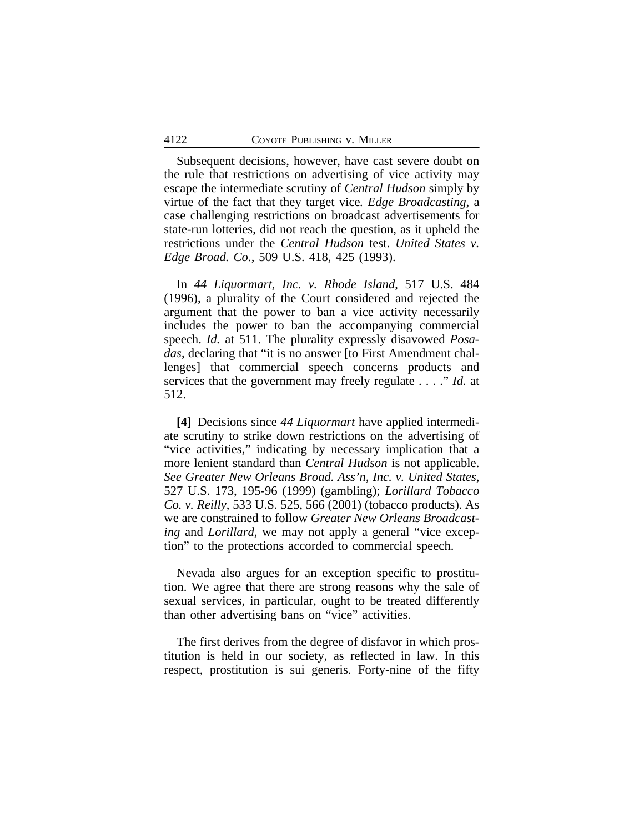Subsequent decisions, however, have cast severe doubt on the rule that restrictions on advertising of vice activity may escape the intermediate scrutiny of *Central Hudson* simply by virtue of the fact that they target vice*. Edge Broadcasting*, a case challenging restrictions on broadcast advertisements for state-run lotteries, did not reach the question, as it upheld the restrictions under the *Central Hudson* test. *United States v. Edge Broad. Co.*, 509 U.S. 418, 425 (1993).

In *44 Liquormart, Inc. v. Rhode Island*, 517 U.S. 484 (1996), a plurality of the Court considered and rejected the argument that the power to ban a vice activity necessarily includes the power to ban the accompanying commercial speech. *Id.* at 511. The plurality expressly disavowed *Posadas*, declaring that "it is no answer [to First Amendment challenges] that commercial speech concerns products and services that the government may freely regulate . . . ." *Id.* at 512.

**[4]** Decisions since *44 Liquormart* have applied intermediate scrutiny to strike down restrictions on the advertising of "vice activities," indicating by necessary implication that a more lenient standard than *Central Hudson* is not applicable. *See Greater New Orleans Broad. Ass'n, Inc. v. United States*, 527 U.S. 173, 195-96 (1999) (gambling); *Lorillard Tobacco Co. v. Reilly*, 533 U.S. 525, 566 (2001) (tobacco products). As we are constrained to follow *Greater New Orleans Broadcasting* and *Lorillard*, we may not apply a general "vice exception" to the protections accorded to commercial speech.

Nevada also argues for an exception specific to prostitution. We agree that there are strong reasons why the sale of sexual services, in particular, ought to be treated differently than other advertising bans on "vice" activities.

The first derives from the degree of disfavor in which prostitution is held in our society, as reflected in law. In this respect, prostitution is sui generis. Forty-nine of the fifty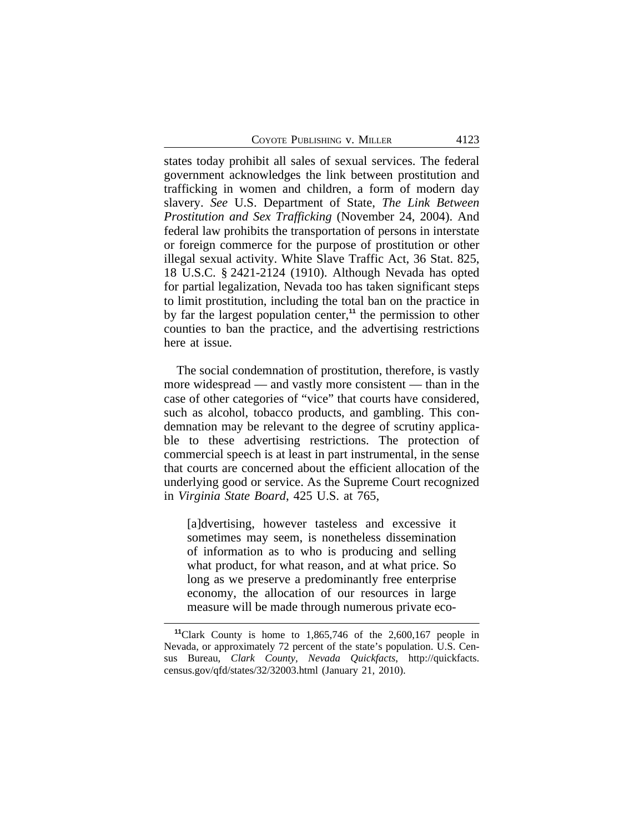COYOTE PUBLISHING V. MILLER 4123

states today prohibit all sales of sexual services. The federal government acknowledges the link between prostitution and trafficking in women and children, a form of modern day slavery. *See* U.S. Department of State, *The Link Between Prostitution and Sex Trafficking* (November 24, 2004). And federal law prohibits the transportation of persons in interstate or foreign commerce for the purpose of prostitution or other illegal sexual activity. White Slave Traffic Act, 36 Stat. 825, 18 U.S.C. § 2421-2124 (1910). Although Nevada has opted for partial legalization, Nevada too has taken significant steps to limit prostitution, including the total ban on the practice in by far the largest population center,**<sup>11</sup>** the permission to other counties to ban the practice, and the advertising restrictions here at issue.

The social condemnation of prostitution, therefore, is vastly more widespread — and vastly more consistent — than in the case of other categories of "vice" that courts have considered, such as alcohol, tobacco products, and gambling. This condemnation may be relevant to the degree of scrutiny applicable to these advertising restrictions. The protection of commercial speech is at least in part instrumental, in the sense that courts are concerned about the efficient allocation of the underlying good or service. As the Supreme Court recognized in *Virginia State Board*, 425 U.S. at 765,

[a]dvertising, however tasteless and excessive it sometimes may seem, is nonetheless dissemination of information as to who is producing and selling what product, for what reason, and at what price. So long as we preserve a predominantly free enterprise economy, the allocation of our resources in large measure will be made through numerous private eco-

**<sup>11</sup>**Clark County is home to 1,865,746 of the 2,600,167 people in Nevada, or approximately 72 percent of the state's population. U.S. Census Bureau, *Clark County, Nevada Quickfacts*, http://quickfacts. census.gov/qfd/states/32/32003.html (January 21, 2010).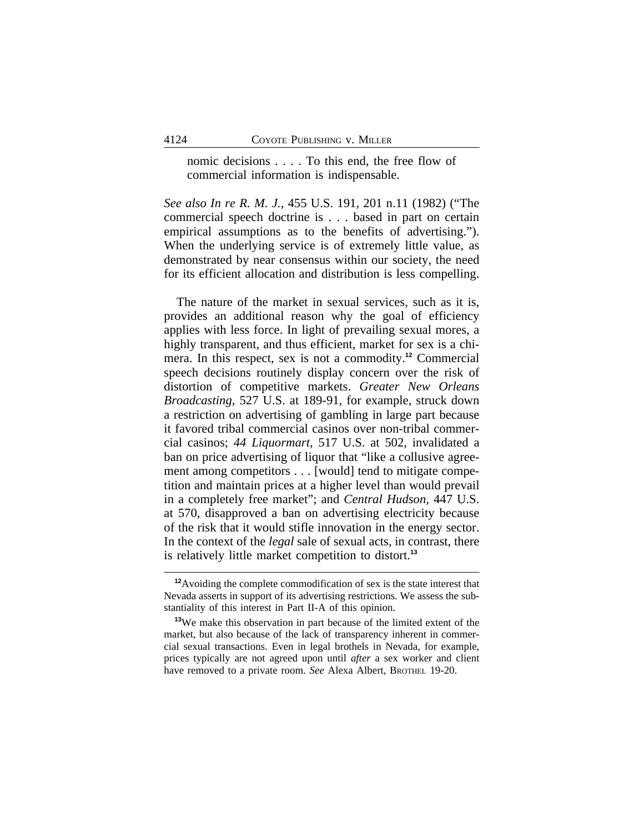nomic decisions . . . . To this end, the free flow of commercial information is indispensable.

*See also In re R. M. J.*, 455 U.S. 191, 201 n.11 (1982) ("The commercial speech doctrine is . . . based in part on certain empirical assumptions as to the benefits of advertising."). When the underlying service is of extremely little value, as demonstrated by near consensus within our society, the need for its efficient allocation and distribution is less compelling.

The nature of the market in sexual services, such as it is, provides an additional reason why the goal of efficiency applies with less force. In light of prevailing sexual mores, a highly transparent, and thus efficient, market for sex is a chimera. In this respect, sex is not a commodity.**<sup>12</sup>** Commercial speech decisions routinely display concern over the risk of distortion of competitive markets. *Greater New Orleans Broadcasting*, 527 U.S. at 189-91, for example, struck down a restriction on advertising of gambling in large part because it favored tribal commercial casinos over non-tribal commercial casinos; *44 Liquormart,* 517 U.S. at 502, invalidated a ban on price advertising of liquor that "like a collusive agreement among competitors . . . [would] tend to mitigate competition and maintain prices at a higher level than would prevail in a completely free market"; and *Central Hudson*, 447 U.S. at 570, disapproved a ban on advertising electricity because of the risk that it would stifle innovation in the energy sector. In the context of the *legal* sale of sexual acts, in contrast, there is relatively little market competition to distort.**<sup>13</sup>**

**<sup>12</sup>**Avoiding the complete commodification of sex is the state interest that Nevada asserts in support of its advertising restrictions. We assess the substantiality of this interest in Part II-A of this opinion.

**<sup>13</sup>**We make this observation in part because of the limited extent of the market, but also because of the lack of transparency inherent in commercial sexual transactions. Even in legal brothels in Nevada, for example, prices typically are not agreed upon until *after* a sex worker and client have removed to a private room. *See* Alexa Albert, BROTHEL 19-20.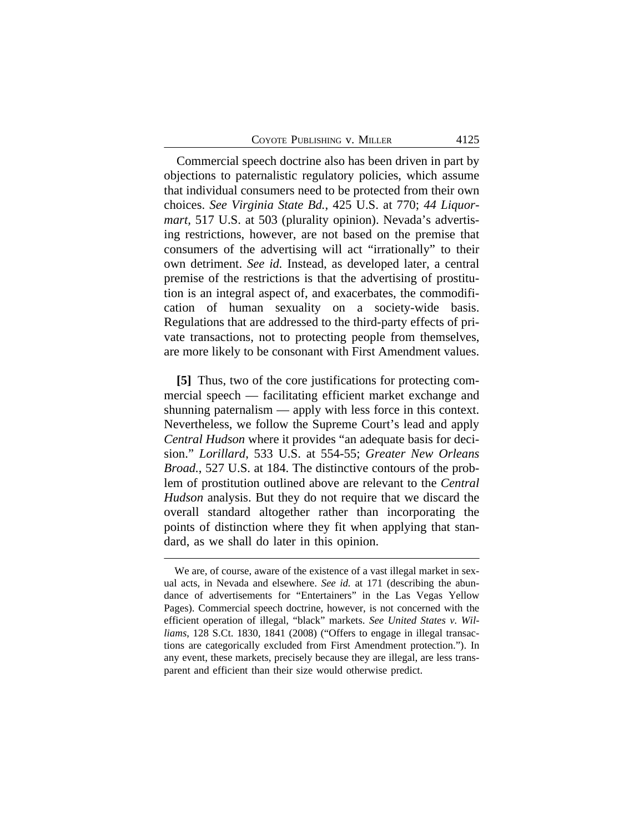Commercial speech doctrine also has been driven in part by objections to paternalistic regulatory policies, which assume that individual consumers need to be protected from their own choices. *See Virginia State Bd.*, 425 U.S. at 770; *44 Liquormart,* 517 U.S. at 503 (plurality opinion). Nevada's advertising restrictions, however, are not based on the premise that consumers of the advertising will act "irrationally" to their own detriment. *See id.* Instead, as developed later, a central premise of the restrictions is that the advertising of prostitution is an integral aspect of, and exacerbates, the commodification of human sexuality on a society-wide basis. Regulations that are addressed to the third-party effects of private transactions, not to protecting people from themselves, are more likely to be consonant with First Amendment values.

**[5]** Thus, two of the core justifications for protecting commercial speech — facilitating efficient market exchange and shunning paternalism — apply with less force in this context. Nevertheless, we follow the Supreme Court's lead and apply *Central Hudson* where it provides "an adequate basis for decision." *Lorillard*, 533 U.S. at 554-55; *Greater New Orleans Broad.*, 527 U.S. at 184. The distinctive contours of the problem of prostitution outlined above are relevant to the *Central Hudson* analysis. But they do not require that we discard the overall standard altogether rather than incorporating the points of distinction where they fit when applying that standard, as we shall do later in this opinion.

We are, of course, aware of the existence of a vast illegal market in sexual acts, in Nevada and elsewhere. *See id.* at 171 (describing the abundance of advertisements for "Entertainers" in the Las Vegas Yellow Pages). Commercial speech doctrine, however, is not concerned with the efficient operation of illegal, "black" markets. *See United States v. Williams*, 128 S.Ct. 1830, 1841 (2008) ("Offers to engage in illegal transactions are categorically excluded from First Amendment protection."). In any event, these markets, precisely because they are illegal, are less transparent and efficient than their size would otherwise predict.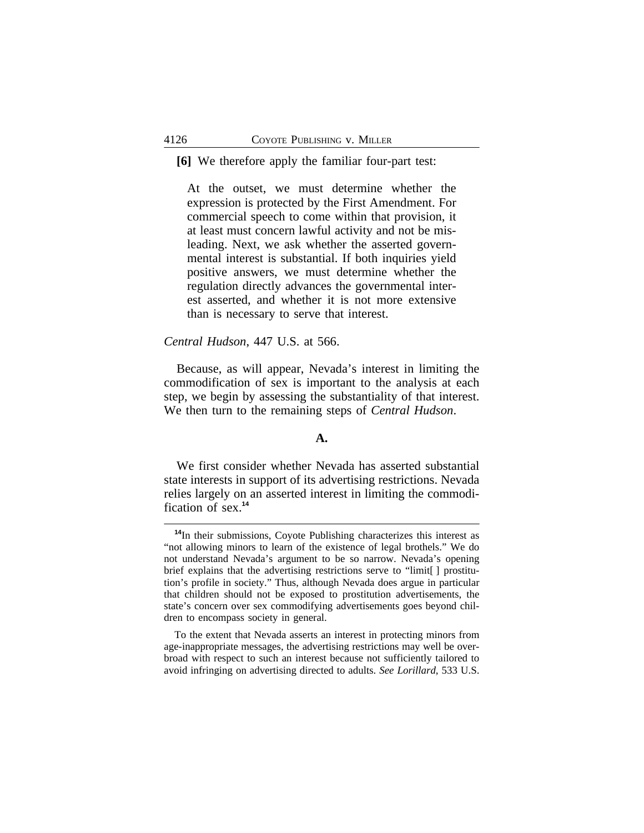#### **[6]** We therefore apply the familiar four-part test:

At the outset, we must determine whether the expression is protected by the First Amendment. For commercial speech to come within that provision, it at least must concern lawful activity and not be misleading. Next, we ask whether the asserted governmental interest is substantial. If both inquiries yield positive answers, we must determine whether the regulation directly advances the governmental interest asserted, and whether it is not more extensive than is necessary to serve that interest.

#### *Central Hudson*, 447 U.S. at 566.

Because, as will appear, Nevada's interest in limiting the commodification of sex is important to the analysis at each step, we begin by assessing the substantiality of that interest. We then turn to the remaining steps of *Central Hudson*.

#### **A.**

We first consider whether Nevada has asserted substantial state interests in support of its advertising restrictions. Nevada relies largely on an asserted interest in limiting the commodification of sex.**<sup>14</sup>**

**<sup>14</sup>**In their submissions, Coyote Publishing characterizes this interest as "not allowing minors to learn of the existence of legal brothels." We do not understand Nevada's argument to be so narrow. Nevada's opening brief explains that the advertising restrictions serve to "limit[ ] prostitution's profile in society." Thus, although Nevada does argue in particular that children should not be exposed to prostitution advertisements, the state's concern over sex commodifying advertisements goes beyond children to encompass society in general.

To the extent that Nevada asserts an interest in protecting minors from age-inappropriate messages, the advertising restrictions may well be overbroad with respect to such an interest because not sufficiently tailored to avoid infringing on advertising directed to adults. *See Lorillard*, 533 U.S.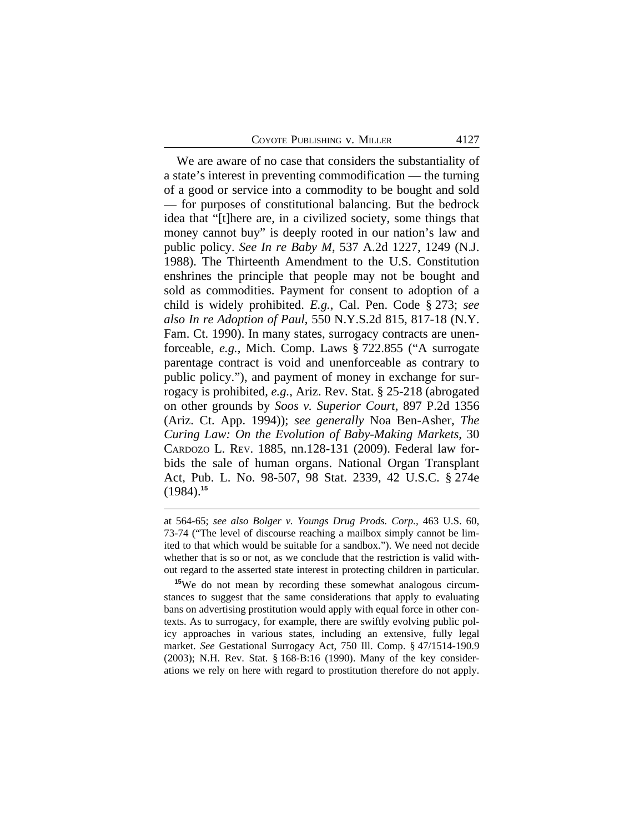We are aware of no case that considers the substantiality of a state's interest in preventing commodification — the turning of a good or service into a commodity to be bought and sold — for purposes of constitutional balancing. But the bedrock idea that "[t]here are, in a civilized society, some things that money cannot buy" is deeply rooted in our nation's law and public policy. *See In re Baby M*, 537 A.2d 1227, 1249 (N.J. 1988). The Thirteenth Amendment to the U.S. Constitution enshrines the principle that people may not be bought and sold as commodities. Payment for consent to adoption of a child is widely prohibited. *E.g.*, Cal. Pen. Code § 273; *see also In re Adoption of Paul*, 550 N.Y.S.2d 815, 817-18 (N.Y. Fam. Ct. 1990). In many states, surrogacy contracts are unenforceable, *e.g.*, Mich. Comp. Laws § 722.855 ("A surrogate parentage contract is void and unenforceable as contrary to public policy."), and payment of money in exchange for surrogacy is prohibited, *e.g.*, Ariz. Rev. Stat. § 25-218 (abrogated on other grounds by *Soos v. Superior Court*, 897 P.2d 1356 (Ariz. Ct. App. 1994)); *see generally* Noa Ben-Asher, *The Curing Law: On the Evolution of Baby-Making Markets*, 30 CARDOZO L. REV. 1885, nn.128-131 (2009). Federal law forbids the sale of human organs. National Organ Transplant Act, Pub. L. No. 98-507, 98 Stat. 2339, 42 U.S.C. § 274e (1984).**<sup>15</sup>**

at 564-65; *see also Bolger v. Youngs Drug Prods. Corp.*, 463 U.S. 60, 73-74 ("The level of discourse reaching a mailbox simply cannot be limited to that which would be suitable for a sandbox."). We need not decide whether that is so or not, as we conclude that the restriction is valid without regard to the asserted state interest in protecting children in particular.

**<sup>15</sup>**We do not mean by recording these somewhat analogous circumstances to suggest that the same considerations that apply to evaluating bans on advertising prostitution would apply with equal force in other contexts. As to surrogacy, for example, there are swiftly evolving public policy approaches in various states, including an extensive, fully legal market. *See* Gestational Surrogacy Act, 750 Ill. Comp. § 47/1514-190.9 (2003); N.H. Rev. Stat. § 168-B:16 (1990). Many of the key considerations we rely on here with regard to prostitution therefore do not apply.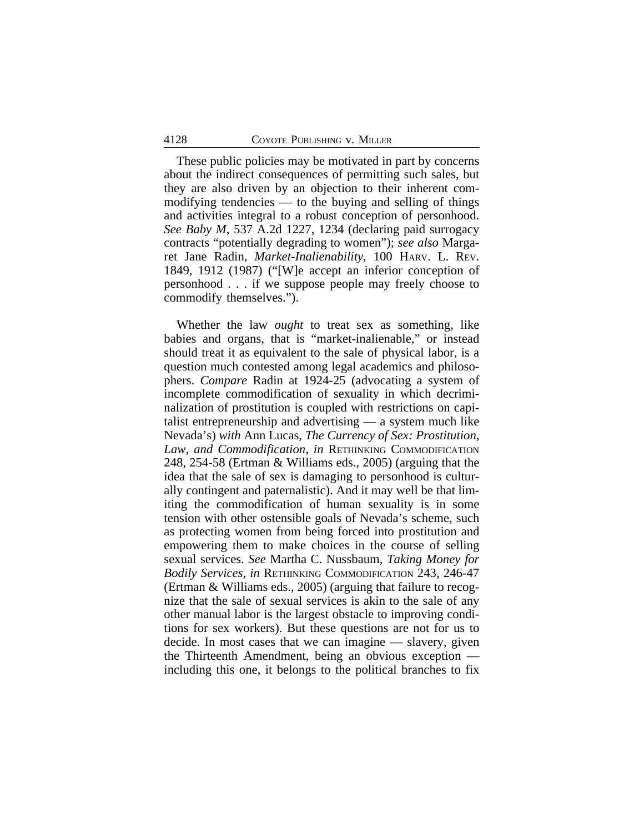These public policies may be motivated in part by concerns about the indirect consequences of permitting such sales, but they are also driven by an objection to their inherent commodifying tendencies — to the buying and selling of things and activities integral to a robust conception of personhood. *See Baby M*, 537 A.2d 1227, 1234 (declaring paid surrogacy contracts "potentially degrading to women"); *see also* Margaret Jane Radin, *Market-Inalienability*, 100 HARV. L. REV. 1849, 1912 (1987) ("[W]e accept an inferior conception of personhood . . . if we suppose people may freely choose to commodify themselves.").

Whether the law *ought* to treat sex as something, like babies and organs, that is "market-inalienable," or instead should treat it as equivalent to the sale of physical labor, is a question much contested among legal academics and philosophers. *Compare* Radin at 1924-25 (advocating a system of incomplete commodification of sexuality in which decriminalization of prostitution is coupled with restrictions on capitalist entrepreneurship and advertising — a system much like Nevada's) *with* Ann Lucas, *The Currency of Sex: Prostitution, Law, and Commodification*, *in* RETHINKING COMMODIFICATION 248, 254-58 (Ertman & Williams eds., 2005) (arguing that the idea that the sale of sex is damaging to personhood is culturally contingent and paternalistic). And it may well be that limiting the commodification of human sexuality is in some tension with other ostensible goals of Nevada's scheme, such as protecting women from being forced into prostitution and empowering them to make choices in the course of selling sexual services. *See* Martha C. Nussbaum, *Taking Money for Bodily Services*, *in* RETHINKING COMMODIFICATION 243, 246-47 (Ertman & Williams eds., 2005) (arguing that failure to recognize that the sale of sexual services is akin to the sale of any other manual labor is the largest obstacle to improving conditions for sex workers). But these questions are not for us to decide. In most cases that we can imagine — slavery, given the Thirteenth Amendment, being an obvious exception including this one, it belongs to the political branches to fix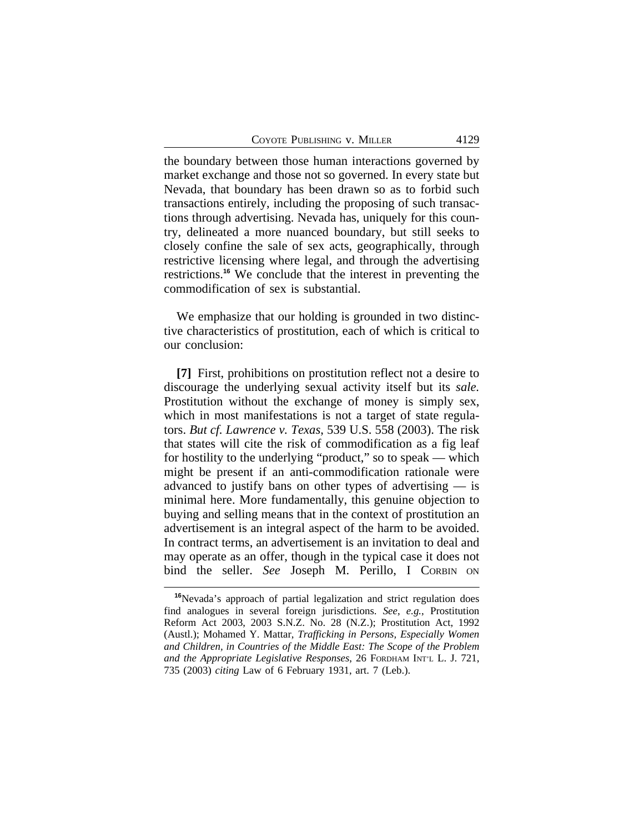the boundary between those human interactions governed by market exchange and those not so governed. In every state but Nevada, that boundary has been drawn so as to forbid such transactions entirely, including the proposing of such transactions through advertising. Nevada has, uniquely for this country, delineated a more nuanced boundary, but still seeks to closely confine the sale of sex acts, geographically, through restrictive licensing where legal, and through the advertising restrictions.**<sup>16</sup>** We conclude that the interest in preventing the commodification of sex is substantial.

We emphasize that our holding is grounded in two distinctive characteristics of prostitution, each of which is critical to our conclusion:

**[7]** First, prohibitions on prostitution reflect not a desire to discourage the underlying sexual activity itself but its *sale.* Prostitution without the exchange of money is simply sex, which in most manifestations is not a target of state regulators. *But cf. Lawrence v. Texas*, 539 U.S. 558 (2003). The risk that states will cite the risk of commodification as a fig leaf for hostility to the underlying "product," so to speak — which might be present if an anti-commodification rationale were advanced to justify bans on other types of advertising — is minimal here. More fundamentally, this genuine objection to buying and selling means that in the context of prostitution an advertisement is an integral aspect of the harm to be avoided. In contract terms, an advertisement is an invitation to deal and may operate as an offer, though in the typical case it does not bind the seller. *See* Joseph M. Perillo, I CORBIN ON

**<sup>16</sup>**Nevada's approach of partial legalization and strict regulation does find analogues in several foreign jurisdictions. *See*, *e.g.*, Prostitution Reform Act 2003, 2003 S.N.Z. No. 28 (N.Z.); Prostitution Act, 1992 (Austl.); Mohamed Y. Mattar, *Trafficking in Persons, Especially Women and Children, in Countries of the Middle East: The Scope of the Problem and the Appropriate Legislative Responses*, 26 FORDHAM INT'L L. J. 721, 735 (2003) *citing* Law of 6 February 1931, art. 7 (Leb.).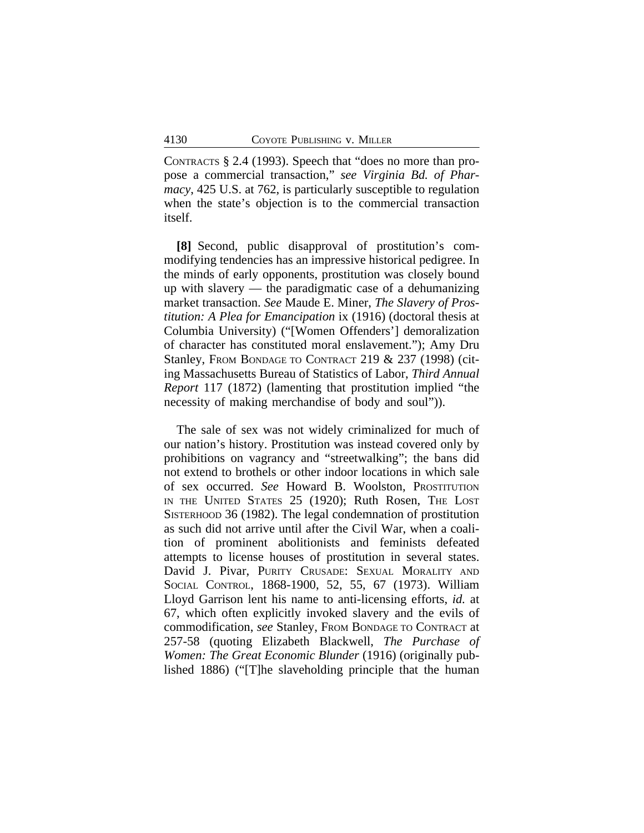CONTRACTS § 2.4 (1993). Speech that "does no more than propose a commercial transaction," *see Virginia Bd. of Pharmacy*, 425 U.S. at 762, is particularly susceptible to regulation when the state's objection is to the commercial transaction itself.

**[8]** Second, public disapproval of prostitution's commodifying tendencies has an impressive historical pedigree. In the minds of early opponents, prostitution was closely bound up with slavery — the paradigmatic case of a dehumanizing market transaction. *See* Maude E. Miner, *The Slavery of Prostitution: A Plea for Emancipation* ix (1916) (doctoral thesis at Columbia University) ("[Women Offenders'] demoralization of character has constituted moral enslavement."); Amy Dru Stanley, FROM BONDAGE TO CONTRACT 219 & 237 (1998) (citing Massachusetts Bureau of Statistics of Labor, *Third Annual Report* 117 (1872) (lamenting that prostitution implied "the necessity of making merchandise of body and soul")).

The sale of sex was not widely criminalized for much of our nation's history. Prostitution was instead covered only by prohibitions on vagrancy and "streetwalking"; the bans did not extend to brothels or other indoor locations in which sale of sex occurred. *See* Howard B. Woolston, PROSTITUTION IN THE UNITED STATES 25 (1920); Ruth Rosen, THE LOST SISTERHOOD 36 (1982). The legal condemnation of prostitution as such did not arrive until after the Civil War, when a coalition of prominent abolitionists and feminists defeated attempts to license houses of prostitution in several states. David J. Pivar, PURITY CRUSADE: SEXUAL MORALITY AND SOCIAL CONTROL, 1868-1900, 52, 55, 67 (1973). William Lloyd Garrison lent his name to anti-licensing efforts, *id.* at 67, which often explicitly invoked slavery and the evils of commodification, *see* Stanley, FROM BONDAGE TO CONTRACT at 257-58 (quoting Elizabeth Blackwell, *The Purchase of Women: The Great Economic Blunder* (1916) (originally published 1886) ("[T]he slaveholding principle that the human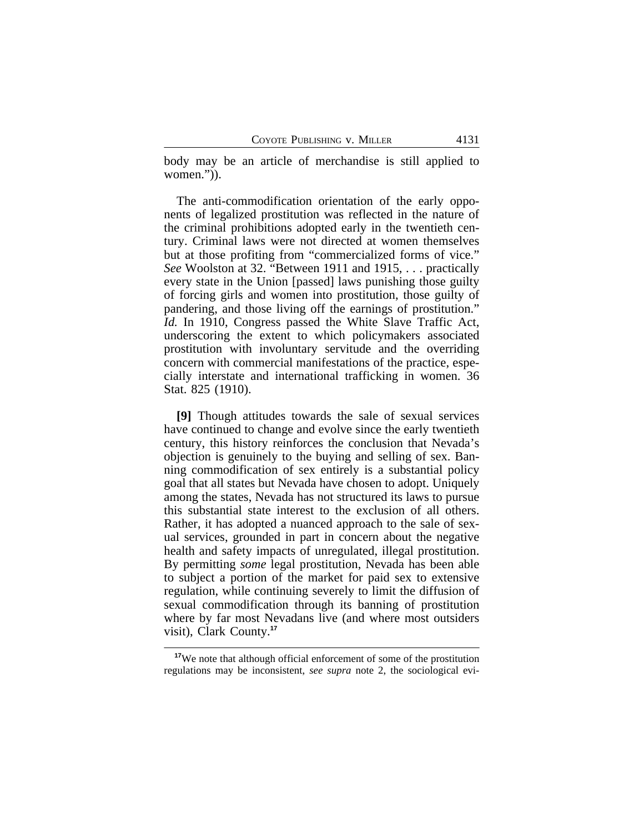body may be an article of merchandise is still applied to women.")).

The anti-commodification orientation of the early opponents of legalized prostitution was reflected in the nature of the criminal prohibitions adopted early in the twentieth century. Criminal laws were not directed at women themselves but at those profiting from "commercialized forms of vice." *See* Woolston at 32. "Between 1911 and 1915, . . . practically every state in the Union [passed] laws punishing those guilty of forcing girls and women into prostitution, those guilty of pandering, and those living off the earnings of prostitution." *Id.* In 1910, Congress passed the White Slave Traffic Act, underscoring the extent to which policymakers associated prostitution with involuntary servitude and the overriding concern with commercial manifestations of the practice, especially interstate and international trafficking in women. 36 Stat. 825 (1910).

**[9]** Though attitudes towards the sale of sexual services have continued to change and evolve since the early twentieth century, this history reinforces the conclusion that Nevada's objection is genuinely to the buying and selling of sex. Banning commodification of sex entirely is a substantial policy goal that all states but Nevada have chosen to adopt. Uniquely among the states, Nevada has not structured its laws to pursue this substantial state interest to the exclusion of all others. Rather, it has adopted a nuanced approach to the sale of sexual services, grounded in part in concern about the negative health and safety impacts of unregulated, illegal prostitution. By permitting *some* legal prostitution, Nevada has been able to subject a portion of the market for paid sex to extensive regulation, while continuing severely to limit the diffusion of sexual commodification through its banning of prostitution where by far most Nevadans live (and where most outsiders visit), Clark County.**<sup>17</sup>**

**<sup>17</sup>**We note that although official enforcement of some of the prostitution regulations may be inconsistent, *see supra* note 2, the sociological evi-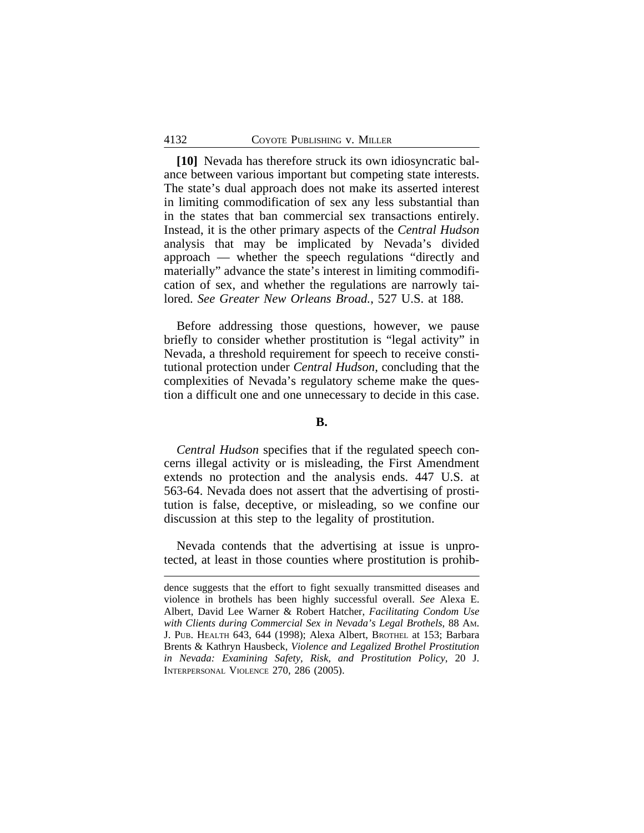**[10]** Nevada has therefore struck its own idiosyncratic balance between various important but competing state interests. The state's dual approach does not make its asserted interest in limiting commodification of sex any less substantial than in the states that ban commercial sex transactions entirely. Instead, it is the other primary aspects of the *Central Hudson* analysis that may be implicated by Nevada's divided approach — whether the speech regulations "directly and materially" advance the state's interest in limiting commodification of sex, and whether the regulations are narrowly tailored. *See Greater New Orleans Broad.*, 527 U.S. at 188.

Before addressing those questions, however, we pause briefly to consider whether prostitution is "legal activity" in Nevada, a threshold requirement for speech to receive constitutional protection under *Central Hudson*, concluding that the complexities of Nevada's regulatory scheme make the question a difficult one and one unnecessary to decide in this case.

### **B.**

*Central Hudson* specifies that if the regulated speech concerns illegal activity or is misleading, the First Amendment extends no protection and the analysis ends. 447 U.S. at 563-64. Nevada does not assert that the advertising of prostitution is false, deceptive, or misleading, so we confine our discussion at this step to the legality of prostitution.

Nevada contends that the advertising at issue is unprotected, at least in those counties where prostitution is prohib-

dence suggests that the effort to fight sexually transmitted diseases and violence in brothels has been highly successful overall. *See* Alexa E. Albert, David Lee Warner & Robert Hatcher, *Facilitating Condom Use with Clients during Commercial Sex in Nevada's Legal Brothels*, 88 AM. J. PUB. HEALTH 643, 644 (1998); Alexa Albert, BROTHEL at 153; Barbara Brents & Kathryn Hausbeck, *Violence and Legalized Brothel Prostitution in Nevada: Examining Safety, Risk, and Prostitution Policy*, 20 J. INTERPERSONAL VIOLENCE 270, 286 (2005).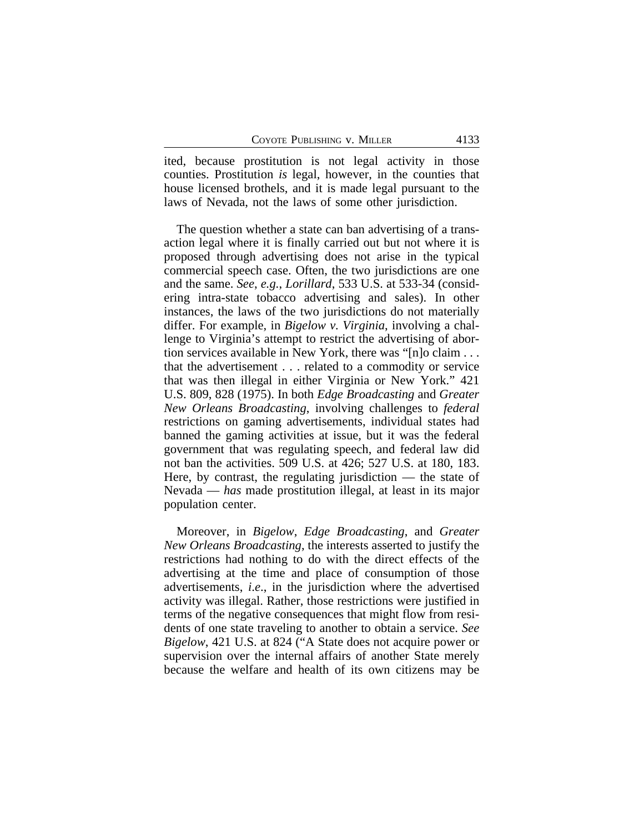ited, because prostitution is not legal activity in those counties. Prostitution *is* legal, however, in the counties that house licensed brothels, and it is made legal pursuant to the laws of Nevada, not the laws of some other jurisdiction.

The question whether a state can ban advertising of a transaction legal where it is finally carried out but not where it is proposed through advertising does not arise in the typical commercial speech case. Often, the two jurisdictions are one and the same. *See*, *e.g.*, *Lorillard*, 533 U.S. at 533-34 (considering intra-state tobacco advertising and sales). In other instances, the laws of the two jurisdictions do not materially differ. For example, in *Bigelow v. Virginia*, involving a challenge to Virginia's attempt to restrict the advertising of abortion services available in New York, there was "[n]o claim . . . that the advertisement . . . related to a commodity or service that was then illegal in either Virginia or New York." 421 U.S. 809, 828 (1975). In both *Edge Broadcasting* and *Greater New Orleans Broadcasting*, involving challenges to *federal* restrictions on gaming advertisements, individual states had banned the gaming activities at issue, but it was the federal government that was regulating speech, and federal law did not ban the activities. 509 U.S. at 426; 527 U.S. at 180, 183. Here, by contrast, the regulating jurisdiction — the state of Nevada — *has* made prostitution illegal, at least in its major population center.

Moreover, in *Bigelow*, *Edge Broadcasting*, and *Greater New Orleans Broadcasting*, the interests asserted to justify the restrictions had nothing to do with the direct effects of the advertising at the time and place of consumption of those advertisements, *i*.*e*., in the jurisdiction where the advertised activity was illegal. Rather, those restrictions were justified in terms of the negative consequences that might flow from residents of one state traveling to another to obtain a service. *See Bigelow*, 421 U.S. at 824 ("A State does not acquire power or supervision over the internal affairs of another State merely because the welfare and health of its own citizens may be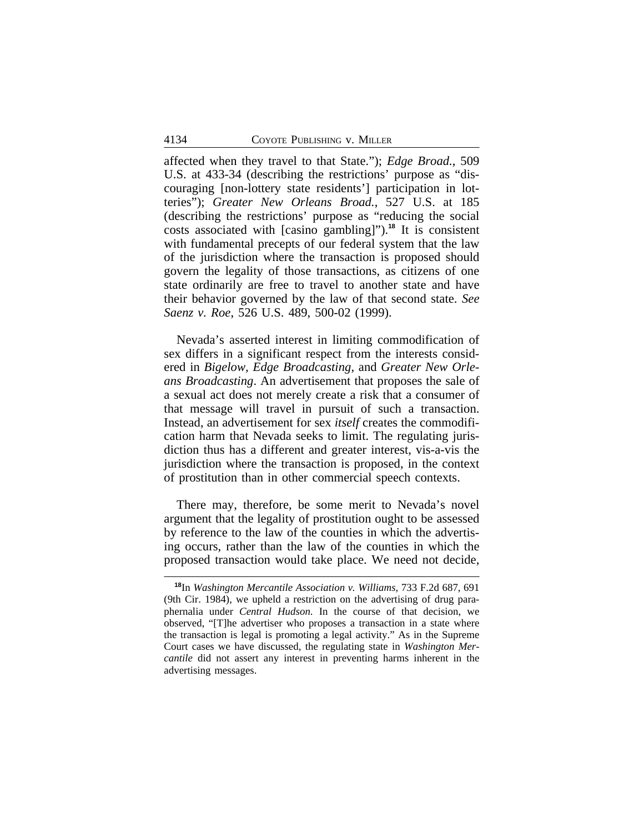affected when they travel to that State."); *Edge Broad.*, 509 U.S. at 433-34 (describing the restrictions' purpose as "discouraging [non-lottery state residents'] participation in lotteries"); *Greater New Orleans Broad.*, 527 U.S. at 185 (describing the restrictions' purpose as "reducing the social costs associated with [casino gambling]").**<sup>18</sup>** It is consistent with fundamental precepts of our federal system that the law of the jurisdiction where the transaction is proposed should govern the legality of those transactions, as citizens of one state ordinarily are free to travel to another state and have their behavior governed by the law of that second state. *See Saenz v. Roe*, 526 U.S. 489, 500-02 (1999).

Nevada's asserted interest in limiting commodification of sex differs in a significant respect from the interests considered in *Bigelow, Edge Broadcasting*, and *Greater New Orleans Broadcasting*. An advertisement that proposes the sale of a sexual act does not merely create a risk that a consumer of that message will travel in pursuit of such a transaction. Instead, an advertisement for sex *itself* creates the commodification harm that Nevada seeks to limit. The regulating jurisdiction thus has a different and greater interest, vis-a-vis the jurisdiction where the transaction is proposed, in the context of prostitution than in other commercial speech contexts.

There may, therefore, be some merit to Nevada's novel argument that the legality of prostitution ought to be assessed by reference to the law of the counties in which the advertising occurs, rather than the law of the counties in which the proposed transaction would take place. We need not decide,

**<sup>18</sup>**In *Washington Mercantile Association v. Williams*, 733 F.2d 687, 691 (9th Cir. 1984), we upheld a restriction on the advertising of drug paraphernalia under *Central Hudson*. In the course of that decision, we observed, "[T]he advertiser who proposes a transaction in a state where the transaction is legal is promoting a legal activity." As in the Supreme Court cases we have discussed, the regulating state in *Washington Mercantile* did not assert any interest in preventing harms inherent in the advertising messages.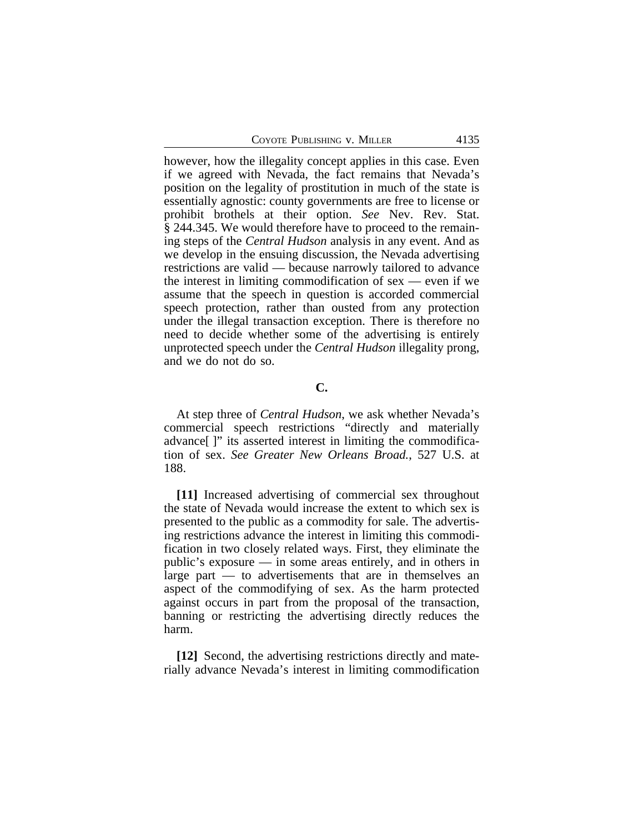however, how the illegality concept applies in this case. Even if we agreed with Nevada, the fact remains that Nevada's position on the legality of prostitution in much of the state is essentially agnostic: county governments are free to license or prohibit brothels at their option. *See* Nev. Rev. Stat. § 244.345. We would therefore have to proceed to the remaining steps of the *Central Hudson* analysis in any event. And as we develop in the ensuing discussion, the Nevada advertising restrictions are valid — because narrowly tailored to advance the interest in limiting commodification of  $sex$  — even if we assume that the speech in question is accorded commercial speech protection, rather than ousted from any protection under the illegal transaction exception. There is therefore no need to decide whether some of the advertising is entirely unprotected speech under the *Central Hudson* illegality prong, and we do not do so.

### **C.**

At step three of *Central Hudson*, we ask whether Nevada's commercial speech restrictions "directly and materially advance[ ]" its asserted interest in limiting the commodification of sex. *See Greater New Orleans Broad.*, 527 U.S. at 188.

**[11]** Increased advertising of commercial sex throughout the state of Nevada would increase the extent to which sex is presented to the public as a commodity for sale. The advertising restrictions advance the interest in limiting this commodification in two closely related ways. First, they eliminate the public's exposure — in some areas entirely, and in others in large part — to advertisements that are in themselves an aspect of the commodifying of sex. As the harm protected against occurs in part from the proposal of the transaction, banning or restricting the advertising directly reduces the harm.

**[12]** Second, the advertising restrictions directly and materially advance Nevada's interest in limiting commodification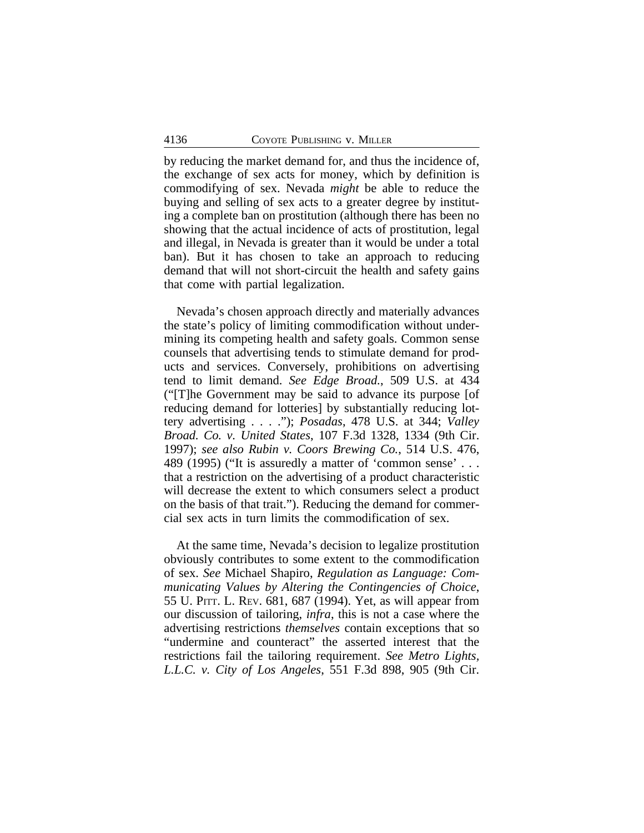by reducing the market demand for, and thus the incidence of, the exchange of sex acts for money, which by definition is commodifying of sex. Nevada *might* be able to reduce the buying and selling of sex acts to a greater degree by instituting a complete ban on prostitution (although there has been no showing that the actual incidence of acts of prostitution, legal and illegal, in Nevada is greater than it would be under a total ban). But it has chosen to take an approach to reducing demand that will not short-circuit the health and safety gains that come with partial legalization.

Nevada's chosen approach directly and materially advances the state's policy of limiting commodification without undermining its competing health and safety goals. Common sense counsels that advertising tends to stimulate demand for products and services. Conversely, prohibitions on advertising tend to limit demand. *See Edge Broad.*, 509 U.S. at 434 ("[T]he Government may be said to advance its purpose [of reducing demand for lotteries] by substantially reducing lottery advertising . . . ."); *Posadas*, 478 U.S. at 344; *Valley Broad. Co. v. United States*, 107 F.3d 1328, 1334 (9th Cir. 1997); *see also Rubin v. Coors Brewing Co.*, 514 U.S. 476, 489 (1995) ("It is assuredly a matter of 'common sense' . . . that a restriction on the advertising of a product characteristic will decrease the extent to which consumers select a product on the basis of that trait."). Reducing the demand for commercial sex acts in turn limits the commodification of sex.

At the same time, Nevada's decision to legalize prostitution obviously contributes to some extent to the commodification of sex. *See* Michael Shapiro, *Regulation as Language: Communicating Values by Altering the Contingencies of Choice*, 55 U. PITT. L. REV. 681, 687 (1994). Yet, as will appear from our discussion of tailoring, *infra*, this is not a case where the advertising restrictions *themselves* contain exceptions that so "undermine and counteract" the asserted interest that the restrictions fail the tailoring requirement. *See Metro Lights, L.L.C. v. City of Los Angeles*, 551 F.3d 898, 905 (9th Cir.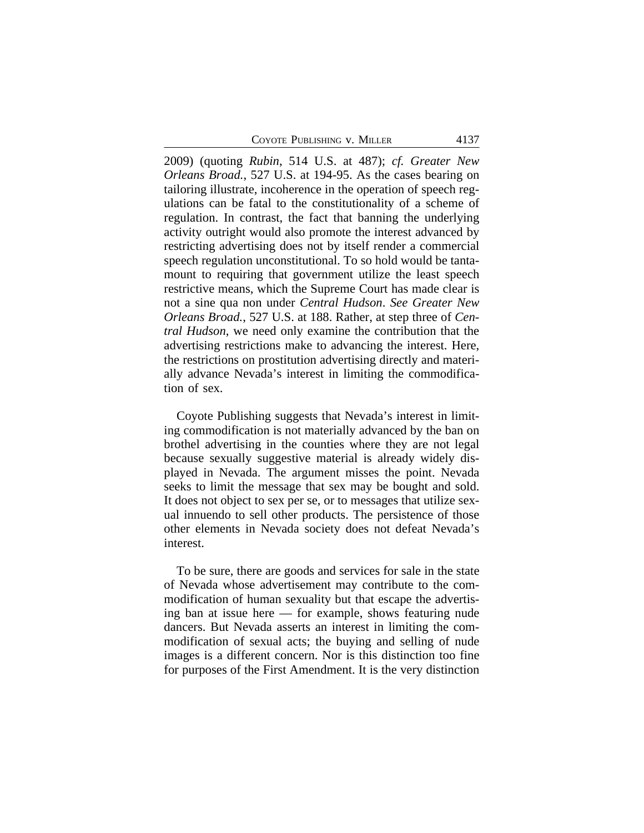COYOTE PUBLISHING V. MILLER 4137

2009) (quoting *Rubin*, 514 U.S. at 487); *cf. Greater New Orleans Broad.*, 527 U.S. at 194-95. As the cases bearing on tailoring illustrate, incoherence in the operation of speech regulations can be fatal to the constitutionality of a scheme of regulation. In contrast, the fact that banning the underlying activity outright would also promote the interest advanced by restricting advertising does not by itself render a commercial speech regulation unconstitutional. To so hold would be tantamount to requiring that government utilize the least speech restrictive means, which the Supreme Court has made clear is not a sine qua non under *Central Hudson*. *See Greater New Orleans Broad.*, 527 U.S. at 188. Rather, at step three of *Central Hudson*, we need only examine the contribution that the advertising restrictions make to advancing the interest. Here, the restrictions on prostitution advertising directly and materially advance Nevada's interest in limiting the commodification of sex.

Coyote Publishing suggests that Nevada's interest in limiting commodification is not materially advanced by the ban on brothel advertising in the counties where they are not legal because sexually suggestive material is already widely displayed in Nevada. The argument misses the point. Nevada seeks to limit the message that sex may be bought and sold. It does not object to sex per se, or to messages that utilize sexual innuendo to sell other products. The persistence of those other elements in Nevada society does not defeat Nevada's interest.

To be sure, there are goods and services for sale in the state of Nevada whose advertisement may contribute to the commodification of human sexuality but that escape the advertising ban at issue here — for example, shows featuring nude dancers. But Nevada asserts an interest in limiting the commodification of sexual acts; the buying and selling of nude images is a different concern. Nor is this distinction too fine for purposes of the First Amendment. It is the very distinction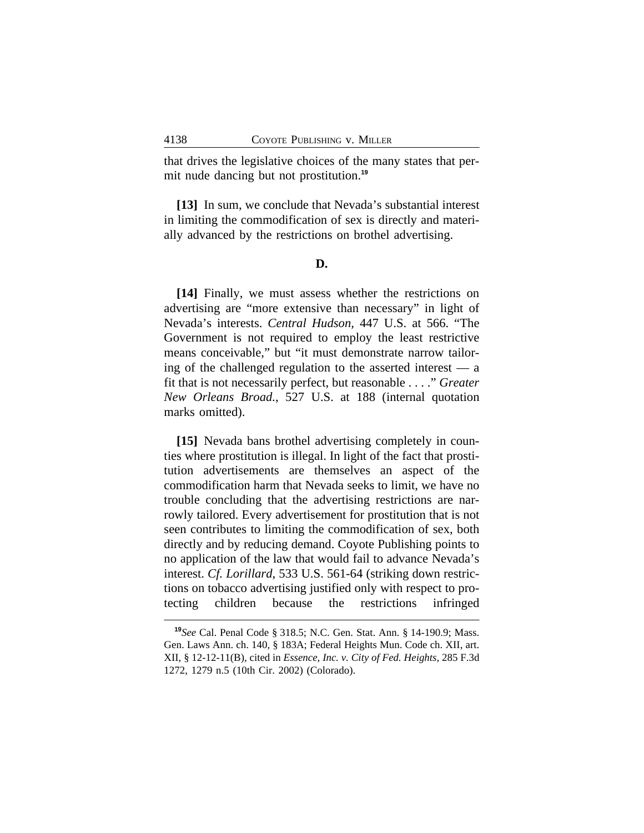that drives the legislative choices of the many states that permit nude dancing but not prostitution.**<sup>19</sup>**

**[13]** In sum, we conclude that Nevada's substantial interest in limiting the commodification of sex is directly and materially advanced by the restrictions on brothel advertising.

#### **D.**

**[14]** Finally, we must assess whether the restrictions on advertising are "more extensive than necessary" in light of Nevada's interests. *Central Hudson*, 447 U.S. at 566. "The Government is not required to employ the least restrictive means conceivable," but "it must demonstrate narrow tailoring of the challenged regulation to the asserted interest — a fit that is not necessarily perfect, but reasonable . . . ." *Greater New Orleans Broad.*, 527 U.S. at 188 (internal quotation marks omitted).

**[15]** Nevada bans brothel advertising completely in counties where prostitution is illegal. In light of the fact that prostitution advertisements are themselves an aspect of the commodification harm that Nevada seeks to limit, we have no trouble concluding that the advertising restrictions are narrowly tailored. Every advertisement for prostitution that is not seen contributes to limiting the commodification of sex, both directly and by reducing demand. Coyote Publishing points to no application of the law that would fail to advance Nevada's interest. *Cf. Lorillard*, 533 U.S. 561-64 (striking down restrictions on tobacco advertising justified only with respect to protecting children because the restrictions infringed

**<sup>19</sup>***See* Cal. Penal Code § 318.5; N.C. Gen. Stat. Ann. § 14-190.9; Mass. Gen. Laws Ann. ch. 140, § 183A; Federal Heights Mun. Code ch. XII, art. XII, § 12-12-11(B), cited in *Essence, Inc. v. City of Fed. Heights*, 285 F.3d 1272, 1279 n.5 (10th Cir. 2002) (Colorado).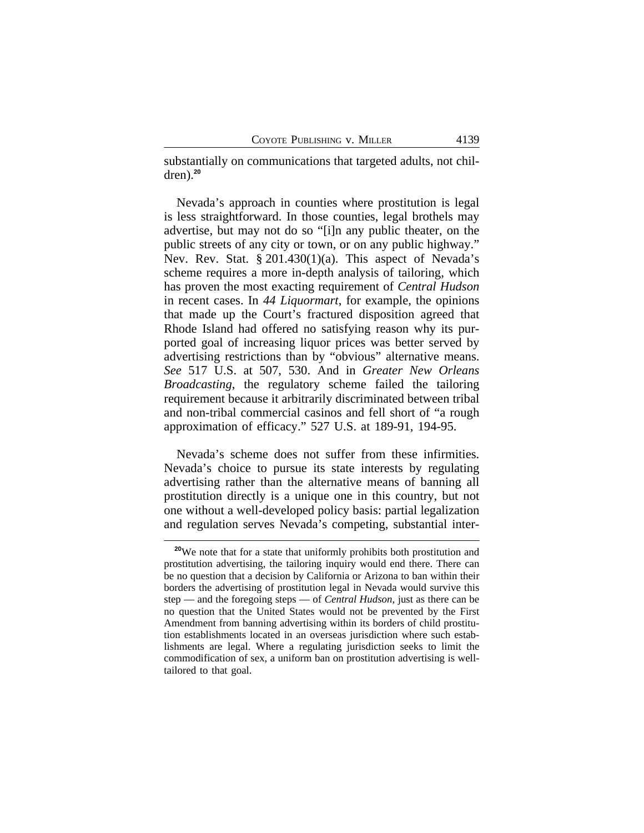substantially on communications that targeted adults, not children).**<sup>20</sup>**

Nevada's approach in counties where prostitution is legal is less straightforward. In those counties, legal brothels may advertise, but may not do so "[i]n any public theater, on the public streets of any city or town, or on any public highway." Nev. Rev. Stat. § 201.430(1)(a). This aspect of Nevada's scheme requires a more in-depth analysis of tailoring, which has proven the most exacting requirement of *Central Hudson* in recent cases. In *44 Liquormart*, for example, the opinions that made up the Court's fractured disposition agreed that Rhode Island had offered no satisfying reason why its purported goal of increasing liquor prices was better served by advertising restrictions than by "obvious" alternative means. *See* 517 U.S. at 507, 530. And in *Greater New Orleans Broadcasting*, the regulatory scheme failed the tailoring requirement because it arbitrarily discriminated between tribal and non-tribal commercial casinos and fell short of "a rough approximation of efficacy." 527 U.S. at 189-91, 194-95.

Nevada's scheme does not suffer from these infirmities. Nevada's choice to pursue its state interests by regulating advertising rather than the alternative means of banning all prostitution directly is a unique one in this country, but not one without a well-developed policy basis: partial legalization and regulation serves Nevada's competing, substantial inter-

**<sup>20</sup>**We note that for a state that uniformly prohibits both prostitution and prostitution advertising, the tailoring inquiry would end there. There can be no question that a decision by California or Arizona to ban within their borders the advertising of prostitution legal in Nevada would survive this step — and the foregoing steps — of *Central Hudson*, just as there can be no question that the United States would not be prevented by the First Amendment from banning advertising within its borders of child prostitution establishments located in an overseas jurisdiction where such establishments are legal. Where a regulating jurisdiction seeks to limit the commodification of sex, a uniform ban on prostitution advertising is welltailored to that goal.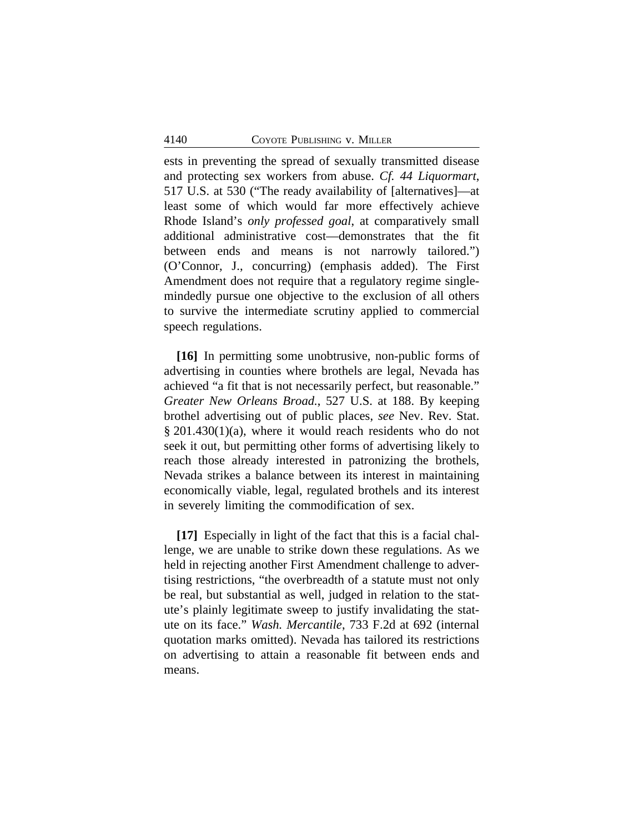ests in preventing the spread of sexually transmitted disease and protecting sex workers from abuse. *Cf. 44 Liquormart*, 517 U.S. at 530 ("The ready availability of [alternatives]—at least some of which would far more effectively achieve Rhode Island's *only professed goal*, at comparatively small additional administrative cost—demonstrates that the fit between ends and means is not narrowly tailored.") (O'Connor, J., concurring) (emphasis added). The First Amendment does not require that a regulatory regime singlemindedly pursue one objective to the exclusion of all others to survive the intermediate scrutiny applied to commercial speech regulations.

**[16]** In permitting some unobtrusive, non-public forms of advertising in counties where brothels are legal, Nevada has achieved "a fit that is not necessarily perfect, but reasonable." *Greater New Orleans Broad.*, 527 U.S. at 188. By keeping brothel advertising out of public places, *see* Nev. Rev. Stat. § 201.430(1)(a), where it would reach residents who do not seek it out, but permitting other forms of advertising likely to reach those already interested in patronizing the brothels, Nevada strikes a balance between its interest in maintaining economically viable, legal, regulated brothels and its interest in severely limiting the commodification of sex.

**[17]** Especially in light of the fact that this is a facial challenge, we are unable to strike down these regulations. As we held in rejecting another First Amendment challenge to advertising restrictions, "the overbreadth of a statute must not only be real, but substantial as well, judged in relation to the statute's plainly legitimate sweep to justify invalidating the statute on its face." *Wash. Mercantile*, 733 F.2d at 692 (internal quotation marks omitted). Nevada has tailored its restrictions on advertising to attain a reasonable fit between ends and means.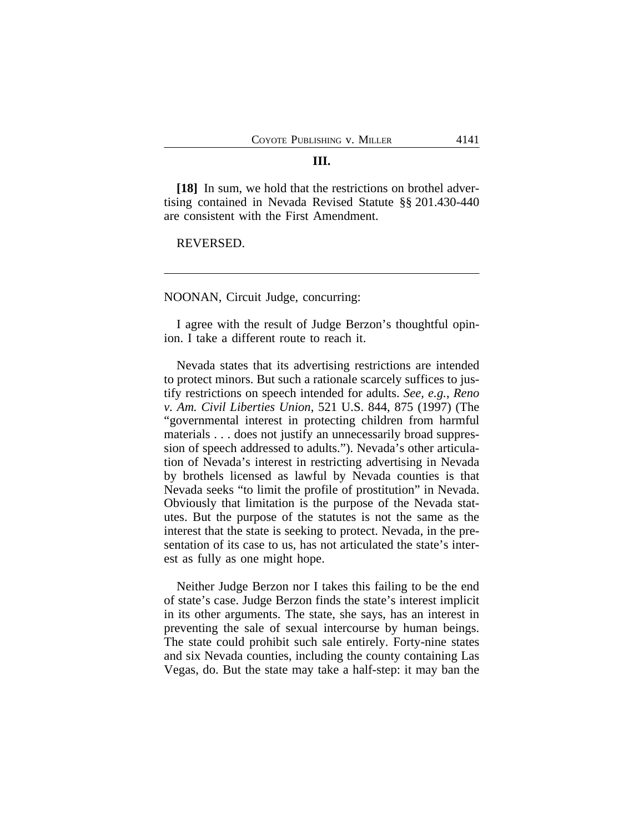#### **III.**

**[18]** In sum, we hold that the restrictions on brothel advertising contained in Nevada Revised Statute §§ 201.430-440 are consistent with the First Amendment.

REVERSED.

NOONAN, Circuit Judge, concurring:

I agree with the result of Judge Berzon's thoughtful opinion. I take a different route to reach it.

Nevada states that its advertising restrictions are intended to protect minors. But such a rationale scarcely suffices to justify restrictions on speech intended for adults. *See, e.g.*, *Reno v. Am. Civil Liberties Union*, 521 U.S. 844, 875 (1997) (The "governmental interest in protecting children from harmful materials . . . does not justify an unnecessarily broad suppression of speech addressed to adults."). Nevada's other articulation of Nevada's interest in restricting advertising in Nevada by brothels licensed as lawful by Nevada counties is that Nevada seeks "to limit the profile of prostitution" in Nevada. Obviously that limitation is the purpose of the Nevada statutes. But the purpose of the statutes is not the same as the interest that the state is seeking to protect. Nevada, in the presentation of its case to us, has not articulated the state's interest as fully as one might hope.

Neither Judge Berzon nor I takes this failing to be the end of state's case. Judge Berzon finds the state's interest implicit in its other arguments. The state, she says, has an interest in preventing the sale of sexual intercourse by human beings. The state could prohibit such sale entirely. Forty-nine states and six Nevada counties, including the county containing Las Vegas, do. But the state may take a half-step: it may ban the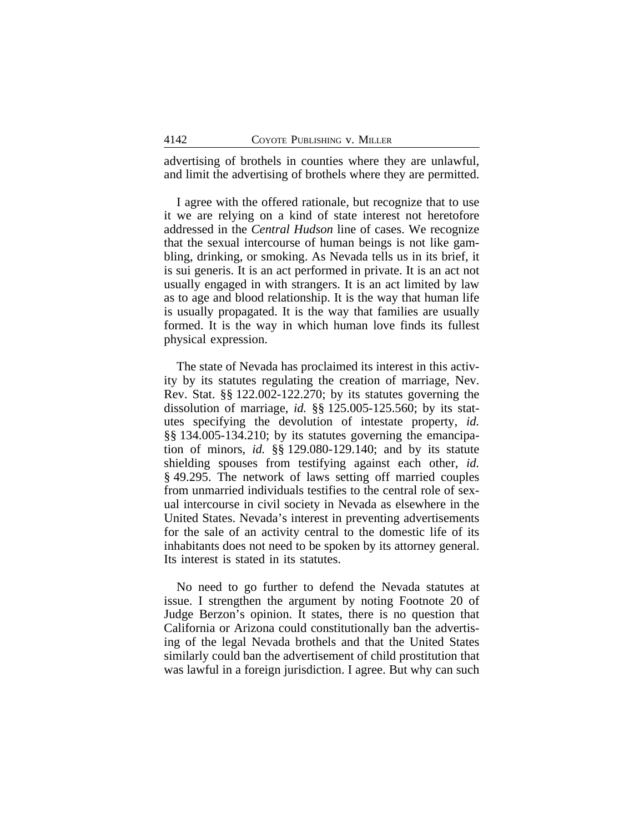advertising of brothels in counties where they are unlawful, and limit the advertising of brothels where they are permitted.

I agree with the offered rationale, but recognize that to use it we are relying on a kind of state interest not heretofore addressed in the *Central Hudson* line of cases. We recognize that the sexual intercourse of human beings is not like gambling, drinking, or smoking. As Nevada tells us in its brief, it is sui generis. It is an act performed in private. It is an act not usually engaged in with strangers. It is an act limited by law as to age and blood relationship. It is the way that human life is usually propagated. It is the way that families are usually formed. It is the way in which human love finds its fullest physical expression.

The state of Nevada has proclaimed its interest in this activity by its statutes regulating the creation of marriage, Nev. Rev. Stat. §§ 122.002-122.270; by its statutes governing the dissolution of marriage, *id.* §§ 125.005-125.560; by its statutes specifying the devolution of intestate property, *id.* §§ 134.005-134.210; by its statutes governing the emancipation of minors, *id.* §§ 129.080-129.140; and by its statute shielding spouses from testifying against each other, *id.* § 49.295. The network of laws setting off married couples from unmarried individuals testifies to the central role of sexual intercourse in civil society in Nevada as elsewhere in the United States. Nevada's interest in preventing advertisements for the sale of an activity central to the domestic life of its inhabitants does not need to be spoken by its attorney general. Its interest is stated in its statutes.

No need to go further to defend the Nevada statutes at issue. I strengthen the argument by noting Footnote 20 of Judge Berzon's opinion. It states, there is no question that California or Arizona could constitutionally ban the advertising of the legal Nevada brothels and that the United States similarly could ban the advertisement of child prostitution that was lawful in a foreign jurisdiction. I agree. But why can such